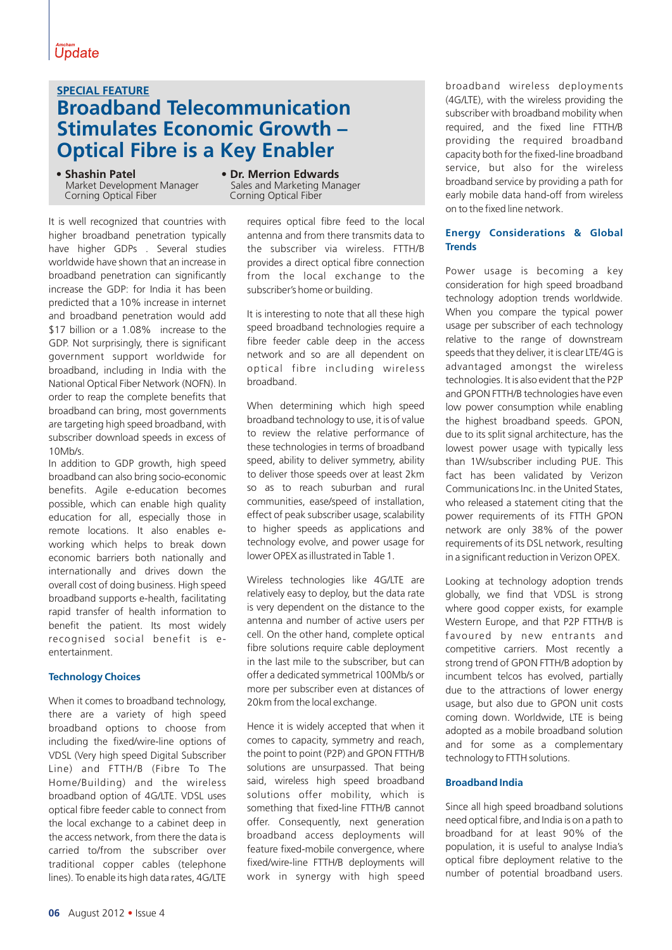## **Broadband Telecommunication Stimulates Economic Growth – Optical Fibre is a Key Enabler SPECIAL FEATURE**

• **Shashin Patel** Market Development Manager Corning Optical Fiber

It is well recognized that countries with higher broadband penetration typically have higher GDPs . Several studies worldwide have shown that an increase in broadband penetration can significantly increase the GDP: for India it has been predicted that a 10% increase in internet and broadband penetration would add \$17 billion or a 1.08% increase to the GDP. Not surprisingly, there is significant government support worldwide for broadband, including in India with the National Optical Fiber Network (NOFN). In order to reap the complete benefits that broadband can bring, most governments are targeting high speed broadband, with subscriber download speeds in excess of 10Mb/s.

In addition to GDP growth, high speed broadband can also bring socio-economic benefits. Agile e-education becomes possible, which can enable high quality education for all, especially those in remote locations. It also enables eworking which helps to break down economic barriers both nationally and internationally and drives down the overall cost of doing business. High speed broadband supports e-health, facilitating rapid transfer of health information to benefit the patient. Its most widely recognised social benefit is eentertainment.

### **Technology Choices**

When it comes to broadband technology, there are a variety of high speed broadband options to choose from including the fixed/wire-line options of VDSL (Very high speed Digital Subscriber Line) and FTTH/B (Fibre To The Home/Building) and the wireless broadband option of 4G/LTE. VDSL uses optical fibre feeder cable to connect from the local exchange to a cabinet deep in the access network, from there the data is carried to/from the subscriber over traditional copper cables (telephone lines). To enable its high data rates, 4G/LTE

**• Dr. Merrion Edwards** Sales and Marketing Manager Corning Optical Fiber

> requires optical fibre feed to the local antenna and from there transmits data to the subscriber via wireless. FTTH/B provides a direct optical fibre connection from the local exchange to the subscriber's home or building.

> It is interesting to note that all these high speed broadband technologies require a fibre feeder cable deep in the access network and so are all dependent on optical fibre including wireless broadband.

> When determining which high speed broadband technology to use, it is of value to review the relative performance of these technologies in terms of broadband speed, ability to deliver symmetry, ability to deliver those speeds over at least 2km so as to reach suburban and rural communities, ease/speed of installation, effect of peak subscriber usage, scalability to higher speeds as applications and technology evolve, and power usage for lower OPEX as illustrated in Table 1.

> Wireless technologies like 4G/LTE are relatively easy to deploy, but the data rate is very dependent on the distance to the antenna and number of active users per cell. On the other hand, complete optical fibre solutions require cable deployment in the last mile to the subscriber, but can offer a dedicated symmetrical 100Mb/s or more per subscriber even at distances of 20km from the local exchange.

> Hence it is widely accepted that when it comes to capacity, symmetry and reach, the point to point (P2P) and GPON FTTH/B solutions are unsurpassed. That being said, wireless high speed broadband solutions offer mobility, which is something that fixed-line FTTH/B cannot offer. Consequently, next generation broadband access deployments will feature fixed-mobile convergence, where fixed/wire-line FTTH/B deployments will work in synergy with high speed

broadband wireless deployments (4G/LTE), with the wireless providing the subscriber with broadband mobility when required, and the fixed line FTTH/B providing the required broadband capacity both for the fixed-line broadband service, but also for the wireless broadband service by providing a path for early mobile data hand-off from wireless on to the fixed line network.

#### **Energy Considerations & Global Trends**

Power usage is becoming a key consideration for high speed broadband technology adoption trends worldwide. When you compare the typical power usage per subscriber of each technology relative to the range of downstream speeds that they deliver, it is clear LTE/4G is advantaged amongst the wireless technologies. It is also evident that the P2P and GPON FTTH/B technologies have even low power consumption while enabling the highest broadband speeds. GPON, due to its split signal architecture, has the lowest power usage with typically less than 1W/subscriber including PUE. This fact has been validated by Verizon Communications Inc. in the United States, who released a statement citing that the power requirements of its FTTH GPON network are only 38% of the power requirements of its DSL network, resulting in a significant reduction in Verizon OPEX.

Looking at technology adoption trends globally, we find that VDSL is strong where good copper exists, for example Western Europe, and that P2P FTTH/B is favoured by new entrants and competitive carriers. Most recently a strong trend of GPON FTTH/B adoption by incumbent telcos has evolved, partially due to the attractions of lower energy usage, but also due to GPON unit costs coming down. Worldwide, LTE is being adopted as a mobile broadband solution and for some as a complementary technology to FTTH solutions.

#### **Broadband India**

Since all high speed broadband solutions need optical fibre, and India is on a path to broadband for at least 90% of the population, it is useful to analyse India's optical fibre deployment relative to the number of potential broadband users.